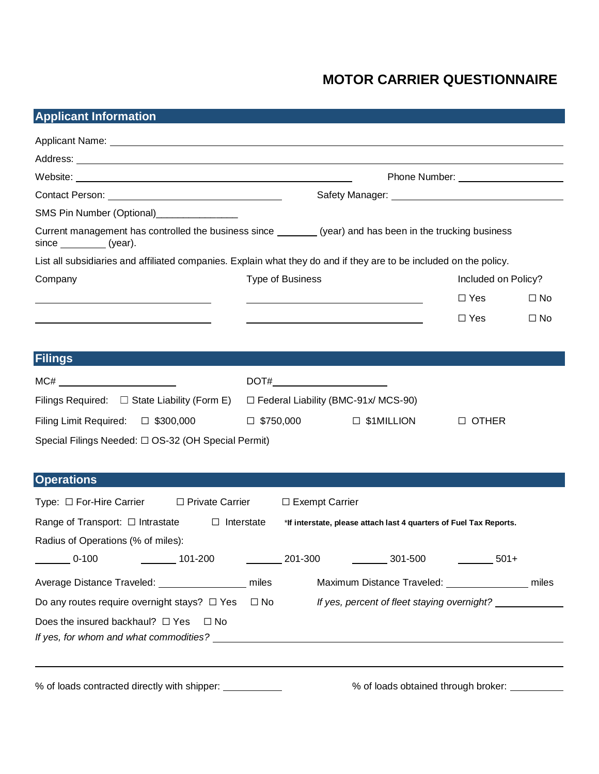# **MOTOR CARRIER QUESTIONNAIRE**

## **Applicant Information**

| SMS Pin Number (Optional)________________                                                                                               |                                                                                  |                                                                    |  |  |  |  |
|-----------------------------------------------------------------------------------------------------------------------------------------|----------------------------------------------------------------------------------|--------------------------------------------------------------------|--|--|--|--|
| Current management has controlled the business since _________ (year) and has been in the trucking business<br>since __________ (year). |                                                                                  |                                                                    |  |  |  |  |
| List all subsidiaries and affiliated companies. Explain what they do and if they are to be included on the policy.                      |                                                                                  |                                                                    |  |  |  |  |
| Company                                                                                                                                 | <b>Type of Business</b>                                                          | Included on Policy?                                                |  |  |  |  |
|                                                                                                                                         |                                                                                  | $\Box$ Yes<br>$\Box$ No                                            |  |  |  |  |
|                                                                                                                                         |                                                                                  | $\Box$ Yes<br>$\square$ No                                         |  |  |  |  |
|                                                                                                                                         |                                                                                  |                                                                    |  |  |  |  |
| <b>Filings</b>                                                                                                                          |                                                                                  |                                                                    |  |  |  |  |
|                                                                                                                                         |                                                                                  |                                                                    |  |  |  |  |
|                                                                                                                                         |                                                                                  |                                                                    |  |  |  |  |
| Filings Required: $\Box$ State Liability (Form E)                                                                                       | $\Box$ Federal Liability (BMC-91x/ MCS-90)                                       |                                                                    |  |  |  |  |
| Filing Limit Required: □ \$300,000                                                                                                      | $\Box$ \$750,000                                                                 | $\Box$ \$1MILLION<br>$\Box$ OTHER                                  |  |  |  |  |
| Special Filings Needed: □ OS-32 (OH Special Permit)                                                                                     |                                                                                  |                                                                    |  |  |  |  |
|                                                                                                                                         |                                                                                  |                                                                    |  |  |  |  |
| <b>Operations</b>                                                                                                                       |                                                                                  |                                                                    |  |  |  |  |
| Type: $\Box$ For-Hire Carrier<br>□ Private Carrier                                                                                      | $\Box$ Exempt Carrier                                                            |                                                                    |  |  |  |  |
| Range of Transport: $\Box$ Intrastate $\Box$ Interstate                                                                                 |                                                                                  | *If interstate, please attach last 4 quarters of Fuel Tax Reports. |  |  |  |  |
| Radius of Operations (% of miles):                                                                                                      |                                                                                  |                                                                    |  |  |  |  |
| $\sim$ 0-100<br>$\sim$ 101-200                                                                                                          | $\frac{201-300}{200}$<br>$\frac{301-500}{ }$                                     | $\frac{1}{2}$ 501+                                                 |  |  |  |  |
|                                                                                                                                         |                                                                                  |                                                                    |  |  |  |  |
| Average Distance Traveled: ________________ miles                                                                                       |                                                                                  | Maximum Distance Traveled: _________________ miles                 |  |  |  |  |
| Do any routes require overnight stays? $\Box$ Yes                                                                                       | $\square$ No                                                                     | If yes, percent of fleet staying overnight?                        |  |  |  |  |
| Does the insured backhaul? $\Box$ Yes<br>⊟ No                                                                                           |                                                                                  |                                                                    |  |  |  |  |
|                                                                                                                                         |                                                                                  |                                                                    |  |  |  |  |
|                                                                                                                                         | ,我们也不会有什么。""我们的人,我们也不会有什么?""我们的人,我们也不会有什么?""我们的人,我们也不会有什么?""我们的人,我们也不会有什么?""我们的人 |                                                                    |  |  |  |  |
| <sup>0</sup> / <sub>c</sub> of loads contracted directly with shipper:                                                                  |                                                                                  | <sup>0</sup> / <sub>2</sub> of loads obtained through broker:      |  |  |  |  |

% of loads contracted directly with shipper: \_\_\_\_\_\_\_\_\_\_\_\_\_\_\_\_ % of loads obtained through broker: \_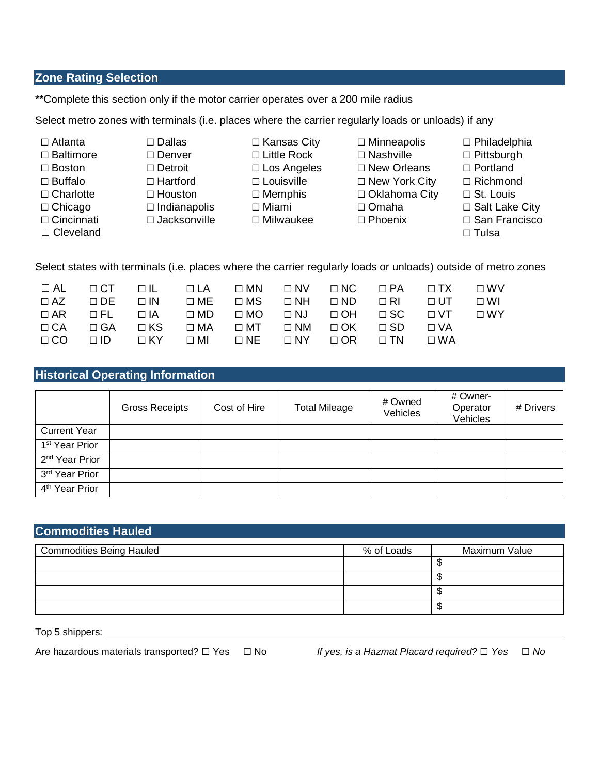#### **Zone Rating Selection**

\*\*Complete this section only if the motor carrier operates over a 200 mile radius

Select metro zones with terminals (i.e. places where the carrier regularly loads or unloads) if any

- 
- 
- 
- 
- 
- 
- 
- $\Box$  Cleveland  $\Box$  Tulsa
- ☐ Boston ☐ Detroit ☐ Los Angeles ☐ New Orleans ☐ Portland
- ☐ Buffalo ☐ Hartford ☐ Louisville ☐ New York City ☐ Richmond ☐ Charlotte ☐ Houston ☐ Memphis ☐ Oklahoma City ☐ St. Louis
	-
- ☐ Cincinnati ☐ Jacksonville ☐ Milwaukee ☐ Phoenix ☐ San Francisco
- ☐ Atlanta ☐ Dallas ☐ Kansas City ☐ Minneapolis ☐ Philadelphia
- ☐ Baltimore ☐ Denver ☐ Little Rock ☐ Nashville ☐ Pittsburgh
	-
	-
	-
	-
- 
- 
- 
- 

Select states with terminals (i.e. places where the carrier regularly loads or unloads) outside of metro zones

|  |  |                                                                                           |  | $\Box$ AL $\Box$ CT $\Box$ IL $\Box$ LA $\Box$ MN $\Box$ NV $\Box$ NC $\Box$ PA $\Box$ TX $\Box$ WV |  |
|--|--|-------------------------------------------------------------------------------------------|--|-----------------------------------------------------------------------------------------------------|--|
|  |  |                                                                                           |  | OAZ ODE OIN OME OMS ONH OND ORI OUT OWI                                                             |  |
|  |  |                                                                                           |  | $\Box$ AR $\Box$ FL $\Box$ IA $\Box$ MD $\Box$ MO $\Box$ NJ $\Box$ OH $\Box$ SC $\Box$ VT $\Box$ WY |  |
|  |  | OCA OGA OKS OMA OMT ONM OOK OSD OVA                                                       |  |                                                                                                     |  |
|  |  | $\Box$ CO $\Box$ ID $\Box$ KY $\Box$ MI $\Box$ NE $\Box$ NY $\Box$ OR $\Box$ TN $\Box$ WA |  |                                                                                                     |  |

### **Historical Operating Information**

|                            | <b>Gross Receipts</b> | Cost of Hire | <b>Total Mileage</b> | # Owned<br>Vehicles | # Owner-<br>Operator<br>Vehicles | # Drivers |
|----------------------------|-----------------------|--------------|----------------------|---------------------|----------------------------------|-----------|
| <b>Current Year</b>        |                       |              |                      |                     |                                  |           |
| 1 <sup>st</sup> Year Prior |                       |              |                      |                     |                                  |           |
| 2 <sup>nd</sup> Year Prior |                       |              |                      |                     |                                  |           |
| 3 <sup>rd</sup> Year Prior |                       |              |                      |                     |                                  |           |
| 4 <sup>th</sup> Year Prior |                       |              |                      |                     |                                  |           |

| <b>Commodities Hauled</b>       |                             |  |  |  |  |  |
|---------------------------------|-----------------------------|--|--|--|--|--|
| <b>Commodities Being Hauled</b> | Maximum Value<br>% of Loads |  |  |  |  |  |
|                                 |                             |  |  |  |  |  |
|                                 |                             |  |  |  |  |  |
|                                 |                             |  |  |  |  |  |
|                                 |                             |  |  |  |  |  |

Top 5 shippers:

Are hazardous materials transported? ☐ Yes ☐ No *If yes, is a Hazmat Placard required?* ☐ *Yes* ☐ *No*

- 
- 
- 
- ☐ Chicago ☐ Indianapolis ☐ Miami ☐ Omaha ☐ Salt Lake City
	-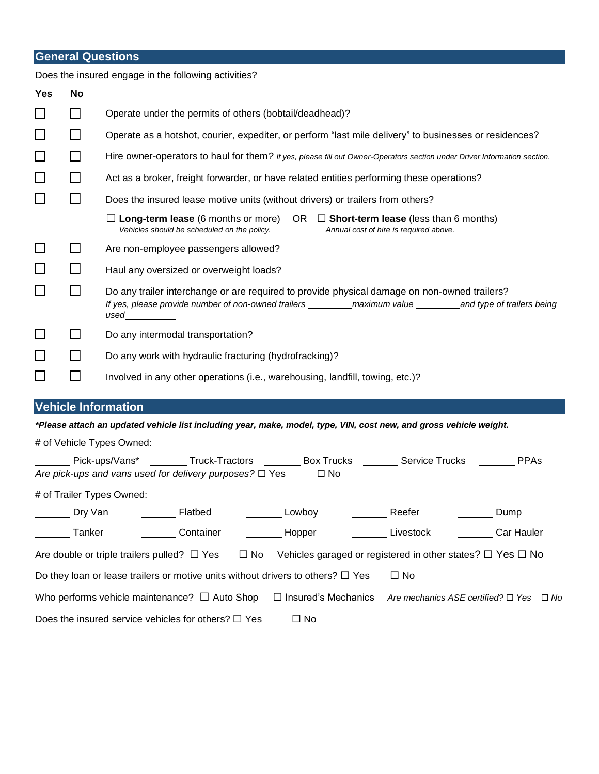## **General Questions**

|                                                                              |              | Does the insured engage in the following activities?                                                                                                                                                            |  |  |  |  |  |  |
|------------------------------------------------------------------------------|--------------|-----------------------------------------------------------------------------------------------------------------------------------------------------------------------------------------------------------------|--|--|--|--|--|--|
| <b>Yes</b>                                                                   | <b>No</b>    |                                                                                                                                                                                                                 |  |  |  |  |  |  |
|                                                                              | $\Box$       | Operate under the permits of others (bobtail/deadhead)?                                                                                                                                                         |  |  |  |  |  |  |
| $\Box$                                                                       | $\Box$       | Operate as a hotshot, courier, expediter, or perform "last mile delivery" to businesses or residences?                                                                                                          |  |  |  |  |  |  |
| $\Box$                                                                       | $\mathsf{L}$ | Hire owner-operators to haul for them? If yes, please fill out Owner-Operators section under Driver Information section.                                                                                        |  |  |  |  |  |  |
| $\Box$                                                                       | П            | Act as a broker, freight forwarder, or have related entities performing these operations?                                                                                                                       |  |  |  |  |  |  |
| $\Box$                                                                       | $\Box$       | Does the insured lease motive units (without drivers) or trailers from others?                                                                                                                                  |  |  |  |  |  |  |
|                                                                              |              | $\Box$ Long-term lease (6 months or more)<br>OR $\Box$ Short-term lease (less than 6 months)<br>Vehicles should be scheduled on the policy.<br>Annual cost of hire is required above.                           |  |  |  |  |  |  |
| $\overline{\phantom{a}}$                                                     | $\Box$       | Are non-employee passengers allowed?                                                                                                                                                                            |  |  |  |  |  |  |
| $\Box$                                                                       | $\Box$       | Haul any oversized or overweight loads?                                                                                                                                                                         |  |  |  |  |  |  |
| $\Box$                                                                       | $\Box$       | Do any trailer interchange or are required to provide physical damage on non-owned trailers?<br>used and the state of the state of the state of the state of the state of the state of the state of the state o |  |  |  |  |  |  |
|                                                                              | $\mathsf{L}$ | Do any intermodal transportation?                                                                                                                                                                               |  |  |  |  |  |  |
| $\mathcal{L}_{\mathcal{A}}$                                                  | П            | Do any work with hydraulic fracturing (hydrofracking)?                                                                                                                                                          |  |  |  |  |  |  |
| $\overline{\phantom{a}}$                                                     | $\Box$       | Involved in any other operations (i.e., warehousing, landfill, towing, etc.)?                                                                                                                                   |  |  |  |  |  |  |
|                                                                              |              | <b>Vehicle Information</b>                                                                                                                                                                                      |  |  |  |  |  |  |
|                                                                              |              | *Please attach an updated vehicle list including year, make, model, type, VIN, cost new, and gross vehicle weight.                                                                                              |  |  |  |  |  |  |
|                                                                              |              | # of Vehicle Types Owned:                                                                                                                                                                                       |  |  |  |  |  |  |
| Truck-Tractors Box Trucks Service Trucks<br>Pick-ups/Vans*<br><b>PPAs</b>    |              |                                                                                                                                                                                                                 |  |  |  |  |  |  |
| Are pick-ups and vans used for delivery purposes? $\Box$ Yes<br>$\square$ No |              |                                                                                                                                                                                                                 |  |  |  |  |  |  |
|                                                                              |              | # of Trailer Types Owned:                                                                                                                                                                                       |  |  |  |  |  |  |
|                                                                              | Dry Van      | Flatbed<br>Lowboy<br>Reefer<br>Dump                                                                                                                                                                             |  |  |  |  |  |  |

| <b>DIV VAIL</b>                                                                      | <b>Flalbed</b> | <b>EUWDOV</b>                                                        | Reeler                                            | <b>PUTTER</b> |                   |  |
|--------------------------------------------------------------------------------------|----------------|----------------------------------------------------------------------|---------------------------------------------------|---------------|-------------------|--|
| Tanker                                                                               | Container      | Hopper                                                               | Livestock                                         |               | <b>Car Hauler</b> |  |
| Are double or triple trailers pulled? $\Box$ Yes $\Box$ No                           |                | Vehicles garaged or registered in other states? $\Box$ Yes $\Box$ No |                                                   |               |                   |  |
| Do they loan or lease trailers or motive units without drivers to others? $\Box$ Yes |                |                                                                      | $\Box$ No                                         |               |                   |  |
| Who performs vehicle maintenance? $\Box$ Auto Shop                                   |                | $\Box$ Insured's Mechanics                                           | Are mechanics ASE certified? $\Box$ Yes $\Box$ No |               |                   |  |
| Does the insured service vehicles for others? $\Box$ Yes                             |                | $\square$ No                                                         |                                                   |               |                   |  |